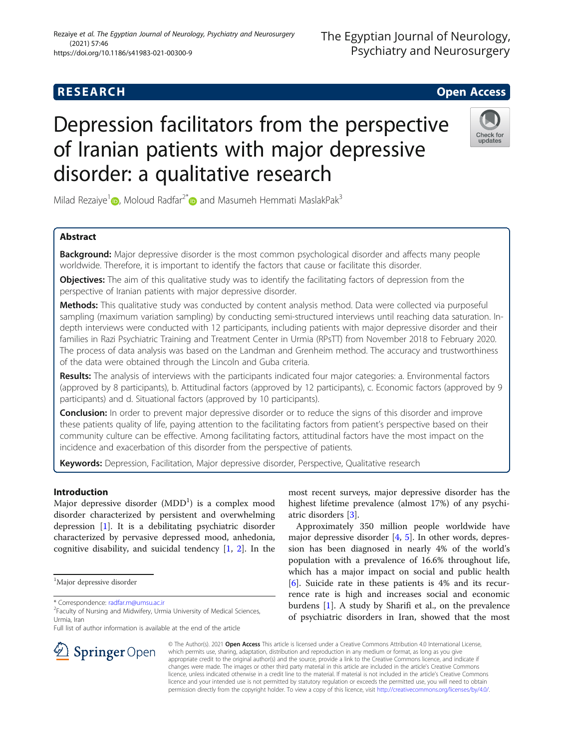# Depression facilitators from the perspective of Iranian patients with major depressive disorder: a qualitative research

Milad Rezaiye<sup>[1](https://orcid.org/0000-0001-7411-0710)</sup> , Moloud Radfar<sup>2[\\*](https://orcid.org/0000-0002-0957-4217)</sup> and Masumeh Hemmati MaslakPak<sup>3</sup>

# Abstract

**Background:** Major depressive disorder is the most common psychological disorder and affects many people worldwide. Therefore, it is important to identify the factors that cause or facilitate this disorder.

**Objectives:** The aim of this qualitative study was to identify the facilitating factors of depression from the perspective of Iranian patients with major depressive disorder.

Methods: This qualitative study was conducted by content analysis method. Data were collected via purposeful sampling (maximum variation sampling) by conducting semi-structured interviews until reaching data saturation. Indepth interviews were conducted with 12 participants, including patients with major depressive disorder and their families in Razi Psychiatric Training and Treatment Center in Urmia (RPsTT) from November 2018 to February 2020. The process of data analysis was based on the Landman and Grenheim method. The accuracy and trustworthiness of the data were obtained through the Lincoln and Guba criteria.

Results: The analysis of interviews with the participants indicated four major categories: a. Environmental factors (approved by 8 participants), b. Attitudinal factors (approved by 12 participants), c. Economic factors (approved by 9 participants) and d. Situational factors (approved by 10 participants).

**Conclusion:** In order to prevent major depressive disorder or to reduce the signs of this disorder and improve these patients quality of life, paying attention to the facilitating factors from patient's perspective based on their community culture can be effective. Among facilitating factors, attitudinal factors have the most impact on the incidence and exacerbation of this disorder from the perspective of patients.

Keywords: Depression, Facilitation, Major depressive disorder, Perspective, Qualitative research

Introduction

Major depressive disorder  $(\mathrm{MDD}^1)$  is a complex mood disorder characterized by persistent and overwhelming depression [[1\]](#page-7-0). It is a debilitating psychiatric disorder characterized by pervasive depressed mood, anhedonia, cognitive disability, and suicidal tendency [[1,](#page-7-0) [2](#page-7-0)]. In the

\* Correspondence: [radfar.m@umsu.ac.ir](mailto:radfar.m@umsu.ac.ir) <sup>2</sup>

 $\Delta$  Springer Open

Full list of author information is available at the end of the article

most recent surveys, major depressive disorder has the highest lifetime prevalence (almost 17%) of any psychiatric disorders [\[3](#page-7-0)].

Approximately 350 million people worldwide have major depressive disorder  $[4, 5]$  $[4, 5]$  $[4, 5]$ . In other words, depression has been diagnosed in nearly 4% of the world's population with a prevalence of 16.6% throughout life, which has a major impact on social and public health [[6\]](#page-7-0). Suicide rate in these patients is 4% and its recurrence rate is high and increases social and economic burdens [[1](#page-7-0)]. A study by Sharifi et al., on the prevalence of psychiatric disorders in Iran, showed that the most

© The Author(s). 2021 Open Access This article is licensed under a Creative Commons Attribution 4.0 International License, which permits use, sharing, adaptation, distribution and reproduction in any medium or format, as long as you give appropriate credit to the original author(s) and the source, provide a link to the Creative Commons licence, and indicate if changes were made. The images or other third party material in this article are included in the article's Creative Commons licence, unless indicated otherwise in a credit line to the material. If material is not included in the article's Creative Commons licence and your intended use is not permitted by statutory regulation or exceeds the permitted use, you will need to obtain permission directly from the copyright holder. To view a copy of this licence, visit <http://creativecommons.org/licenses/by/4.0/>.





The Egyptian Journal of Neurology,

<sup>&</sup>lt;sup>1</sup>Major depressive disorder

<sup>&</sup>lt;sup>2</sup>Faculty of Nursing and Midwifery, Urmia University of Medical Sciences, Urmia, Iran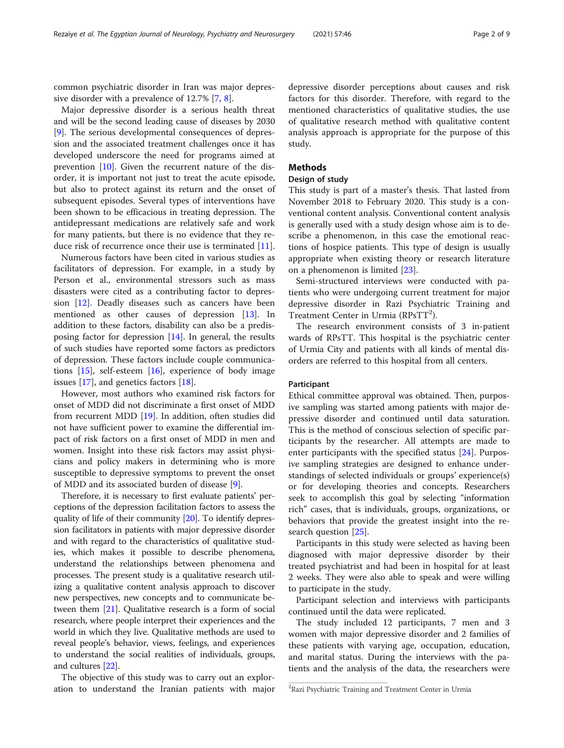common psychiatric disorder in Iran was major depressive disorder with a prevalence of 12.7% [[7,](#page-7-0) [8\]](#page-7-0).

Major depressive disorder is a serious health threat and will be the second leading cause of diseases by 2030 [[9\]](#page-7-0). The serious developmental consequences of depression and the associated treatment challenges once it has developed underscore the need for programs aimed at prevention  $[10]$  $[10]$ . Given the recurrent nature of the disorder, it is important not just to treat the acute episode, but also to protect against its return and the onset of subsequent episodes. Several types of interventions have been shown to be efficacious in treating depression. The antidepressant medications are relatively safe and work for many patients, but there is no evidence that they reduce risk of recurrence once their use is terminated [\[11\]](#page-8-0).

Numerous factors have been cited in various studies as facilitators of depression. For example, in a study by Person et al., environmental stressors such as mass disasters were cited as a contributing factor to depression [\[12\]](#page-8-0). Deadly diseases such as cancers have been mentioned as other causes of depression [[13\]](#page-8-0). In addition to these factors, disability can also be a predisposing factor for depression [\[14](#page-8-0)]. In general, the results of such studies have reported some factors as predictors of depression. These factors include couple communications [\[15\]](#page-8-0), self-esteem [\[16\]](#page-8-0), experience of body image issues [\[17](#page-8-0)], and genetics factors [[18\]](#page-8-0).

However, most authors who examined risk factors for onset of MDD did not discriminate a first onset of MDD from recurrent MDD [[19](#page-8-0)]. In addition, often studies did not have sufficient power to examine the differential impact of risk factors on a first onset of MDD in men and women. Insight into these risk factors may assist physicians and policy makers in determining who is more susceptible to depressive symptoms to prevent the onset of MDD and its associated burden of disease [\[9](#page-7-0)].

Therefore, it is necessary to first evaluate patients' perceptions of the depression facilitation factors to assess the quality of life of their community [\[20\]](#page-8-0). To identify depression facilitators in patients with major depressive disorder and with regard to the characteristics of qualitative studies, which makes it possible to describe phenomena, understand the relationships between phenomena and processes. The present study is a qualitative research utilizing a qualitative content analysis approach to discover new perspectives, new concepts and to communicate between them [\[21\]](#page-8-0). Qualitative research is a form of social research, where people interpret their experiences and the world in which they live. Qualitative methods are used to reveal people's behavior, views, feelings, and experiences to understand the social realities of individuals, groups, and cultures [[22](#page-8-0)].

The objective of this study was to carry out an exploration to understand the Iranian patients with major

depressive disorder perceptions about causes and risk factors for this disorder. Therefore, with regard to the mentioned characteristics of qualitative studies, the use of qualitative research method with qualitative content analysis approach is appropriate for the purpose of this study.

# Methods

## Design of study

This study is part of a master's thesis. That lasted from November 2018 to February 2020. This study is a conventional content analysis. Conventional content analysis is generally used with a study design whose aim is to describe a phenomenon, in this case the emotional reactions of hospice patients. This type of design is usually appropriate when existing theory or research literature on a phenomenon is limited [[23](#page-8-0)].

Semi-structured interviews were conducted with patients who were undergoing current treatment for major depressive disorder in Razi Psychiatric Training and Treatment Center in Urmia (RPsTT<sup>2</sup>).

The research environment consists of 3 in-patient wards of RPsTT. This hospital is the psychiatric center of Urmia City and patients with all kinds of mental disorders are referred to this hospital from all centers.

# Participant

Ethical committee approval was obtained. Then, purposive sampling was started among patients with major depressive disorder and continued until data saturation. This is the method of conscious selection of specific participants by the researcher. All attempts are made to enter participants with the specified status [[24\]](#page-8-0). Purposive sampling strategies are designed to enhance understandings of selected individuals or groups' experience(s) or for developing theories and concepts. Researchers seek to accomplish this goal by selecting "information rich" cases, that is individuals, groups, organizations, or behaviors that provide the greatest insight into the research question [[25\]](#page-8-0).

Participants in this study were selected as having been diagnosed with major depressive disorder by their treated psychiatrist and had been in hospital for at least 2 weeks. They were also able to speak and were willing to participate in the study.

Participant selection and interviews with participants continued until the data were replicated.

The study included 12 participants, 7 men and 3 women with major depressive disorder and 2 families of these patients with varying age, occupation, education, and marital status. During the interviews with the patients and the analysis of the data, the researchers were

<sup>&</sup>lt;sup>2</sup>Razi Psychiatric Training and Treatment Center in Urmia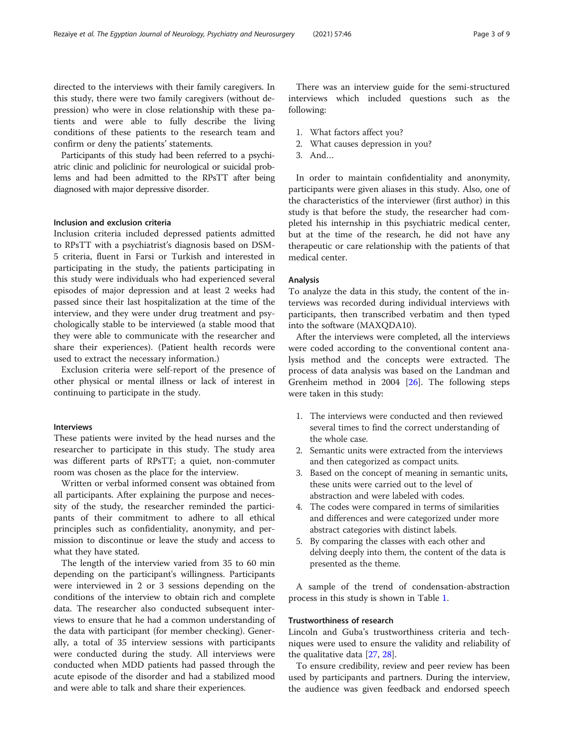directed to the interviews with their family caregivers. In this study, there were two family caregivers (without depression) who were in close relationship with these patients and were able to fully describe the living conditions of these patients to the research team and confirm or deny the patients' statements.

Participants of this study had been referred to a psychiatric clinic and policlinic for neurological or suicidal problems and had been admitted to the RPsTT after being diagnosed with major depressive disorder.

# Inclusion and exclusion criteria

Inclusion criteria included depressed patients admitted to RPsTT with a psychiatrist's diagnosis based on DSM-5 criteria, fluent in Farsi or Turkish and interested in participating in the study, the patients participating in this study were individuals who had experienced several episodes of major depression and at least 2 weeks had passed since their last hospitalization at the time of the interview, and they were under drug treatment and psychologically stable to be interviewed (a stable mood that they were able to communicate with the researcher and share their experiences). (Patient health records were used to extract the necessary information.)

Exclusion criteria were self-report of the presence of other physical or mental illness or lack of interest in continuing to participate in the study.

# Interviews

These patients were invited by the head nurses and the researcher to participate in this study. The study area was different parts of RPsTT; a quiet, non-commuter room was chosen as the place for the interview.

Written or verbal informed consent was obtained from all participants. After explaining the purpose and necessity of the study, the researcher reminded the participants of their commitment to adhere to all ethical principles such as confidentiality, anonymity, and permission to discontinue or leave the study and access to what they have stated.

The length of the interview varied from 35 to 60 min depending on the participant's willingness. Participants were interviewed in 2 or 3 sessions depending on the conditions of the interview to obtain rich and complete data. The researcher also conducted subsequent interviews to ensure that he had a common understanding of the data with participant (for member checking). Generally, a total of 35 interview sessions with participants were conducted during the study. All interviews were conducted when MDD patients had passed through the acute episode of the disorder and had a stabilized mood and were able to talk and share their experiences.

There was an interview guide for the semi-structured interviews which included questions such as the following:

- 1. What factors affect you?
- 2. What causes depression in you?
- 3. And…

In order to maintain confidentiality and anonymity, participants were given aliases in this study. Also, one of the characteristics of the interviewer (first author) in this study is that before the study, the researcher had completed his internship in this psychiatric medical center, but at the time of the research, he did not have any therapeutic or care relationship with the patients of that medical center.

#### Analysis

To analyze the data in this study, the content of the interviews was recorded during individual interviews with participants, then transcribed verbatim and then typed into the software (MAXQDA10).

After the interviews were completed, all the interviews were coded according to the conventional content analysis method and the concepts were extracted. The process of data analysis was based on the Landman and Grenheim method in 2004 [[26](#page-8-0)]. The following steps were taken in this study:

- 1. The interviews were conducted and then reviewed several times to find the correct understanding of the whole case.
- 2. Semantic units were extracted from the interviews and then categorized as compact units.
- 3. Based on the concept of meaning in semantic units, these units were carried out to the level of abstraction and were labeled with codes.
- 4. The codes were compared in terms of similarities and differences and were categorized under more abstract categories with distinct labels.
- 5. By comparing the classes with each other and delving deeply into them, the content of the data is presented as the theme.

A sample of the trend of condensation-abstraction process in this study is shown in Table [1](#page-3-0).

# Trustworthiness of research

Lincoln and Guba's trustworthiness criteria and techniques were used to ensure the validity and reliability of the qualitative data [\[27,](#page-8-0) [28\]](#page-8-0).

To ensure credibility, review and peer review has been used by participants and partners. During the interview, the audience was given feedback and endorsed speech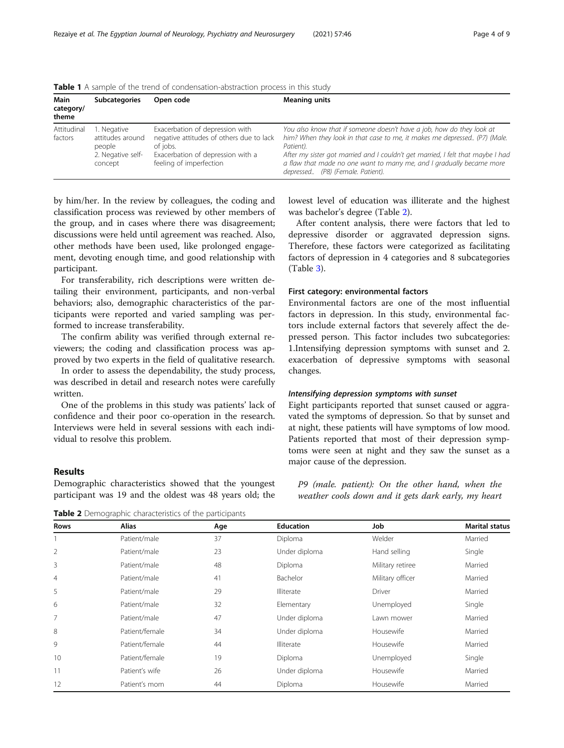| Main<br>category/<br>theme | <b>Subcategories</b>                                                      | Open code                                                                                                                                               | <b>Meaning units</b>                                                                                                                                                                                                                                                                                                                                             |
|----------------------------|---------------------------------------------------------------------------|---------------------------------------------------------------------------------------------------------------------------------------------------------|------------------------------------------------------------------------------------------------------------------------------------------------------------------------------------------------------------------------------------------------------------------------------------------------------------------------------------------------------------------|
| Attitudinal<br>factors     | 1. Negative<br>attitudes around<br>people<br>2. Negative self-<br>concept | Exacerbation of depression with<br>negative attitudes of others due to lack<br>of jobs.<br>Exacerbation of depression with a<br>feeling of imperfection | You also know that if someone doesn't have a job, how do they look at<br>him? When they look in that case to me, it makes me depressed (P7) (Male.<br>Patient).<br>After my sister got married and I couldn't get married, I felt that maybe I had<br>a flaw that made no one want to marry me, and I gradually became more<br>depressed (P8) (Female. Patient). |

<span id="page-3-0"></span>Table 1 A sample of the trend of condensation-abstraction process in this study

by him/her. In the review by colleagues, the coding and classification process was reviewed by other members of the group, and in cases where there was disagreement; discussions were held until agreement was reached. Also, other methods have been used, like prolonged engagement, devoting enough time, and good relationship with participant.

For transferability, rich descriptions were written detailing their environment, participants, and non-verbal behaviors; also, demographic characteristics of the participants were reported and varied sampling was performed to increase transferability.

The confirm ability was verified through external reviewers; the coding and classification process was approved by two experts in the field of qualitative research.

In order to assess the dependability, the study process, was described in detail and research notes were carefully written.

One of the problems in this study was patients' lack of confidence and their poor co-operation in the research. Interviews were held in several sessions with each individual to resolve this problem.

# Results

Demographic characteristics showed that the youngest participant was 19 and the oldest was 48 years old; the

**Table 2** Demographic characteristics of the participants

lowest level of education was illiterate and the highest was bachelor's degree (Table 2).

After content analysis, there were factors that led to depressive disorder or aggravated depression signs. Therefore, these factors were categorized as facilitating factors of depression in 4 categories and 8 subcategories (Table [3\)](#page-4-0).

#### First category: environmental factors

Environmental factors are one of the most influential factors in depression. In this study, environmental factors include external factors that severely affect the depressed person. This factor includes two subcategories: 1.Intensifying depression symptoms with sunset and 2. exacerbation of depressive symptoms with seasonal changes.

# Intensifying depression symptoms with sunset

Eight participants reported that sunset caused or aggravated the symptoms of depression. So that by sunset and at night, these patients will have symptoms of low mood. Patients reported that most of their depression symptoms were seen at night and they saw the sunset as a major cause of the depression.

P9 (male. patient): On the other hand, when the weather cools down and it gets dark early, my heart

| Rows           | <b>Alias</b>   | Age | <b>Education</b> | Job              | <b>Marital status</b> |
|----------------|----------------|-----|------------------|------------------|-----------------------|
|                | Patient/male   | 37  | Diploma          | Welder           | Married               |
| 2              | Patient/male   | 23  | Under diploma    | Hand selling     | Single                |
| 3              | Patient/male   | 48  | Diploma          | Military retiree | Married               |
| $\overline{4}$ | Patient/male   | 41  | Bachelor         | Military officer | Married               |
| 5              | Patient/male   | 29  | Illiterate       | <b>Driver</b>    | Married               |
| 6              | Patient/male   | 32  | Elementary       | Unemployed       | Single                |
| 7              | Patient/male   | 47  | Under diploma    | Lawn mower       | Married               |
| 8              | Patient/female | 34  | Under diploma    | Housewife        | Married               |
| 9              | Patient/female | 44  | Illiterate       | Housewife        | Married               |
| 10             | Patient/female | 19  | Diploma          | Unemployed       | Single                |
| 11             | Patient's wife | 26  | Under diploma    | Housewife        | Married               |
| 12             | Patient's mom  | 44  | Diploma          | Housewife        | Married               |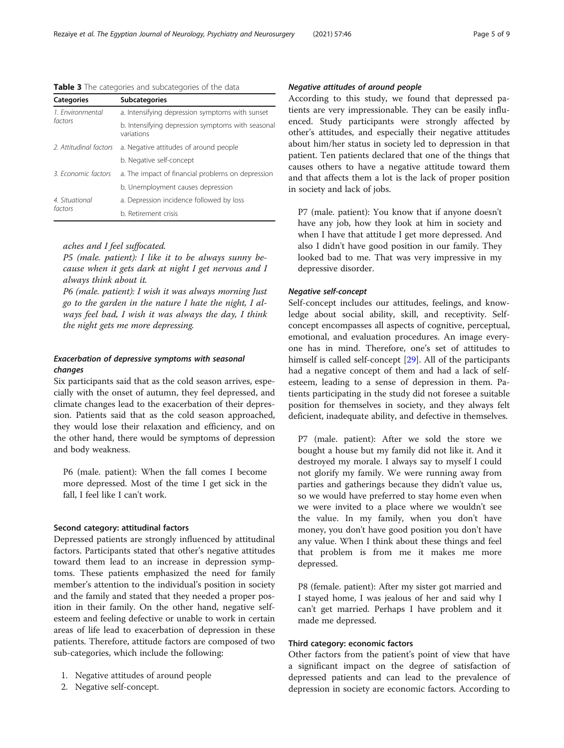<span id="page-4-0"></span>Rezaiye et al. The Egyptian Journal of Neurology, Psychiatry and Neurosurgery (2021) 57:46 Page 5 of 9

# Table 3 The categories and subcategories of the data

| <b>Categories</b>     | <b>Subcategories</b>                                            |  |  |  |
|-----------------------|-----------------------------------------------------------------|--|--|--|
| 1. Environmental      | a. Intensifying depression symptoms with sunset                 |  |  |  |
| factors               | b. Intensifying depression symptoms with seasonal<br>variations |  |  |  |
| 2 Attitudinal factors | a. Negative attitudes of around people                          |  |  |  |
|                       | b. Negative self-concept                                        |  |  |  |
| 3 Economic factors    | a. The impact of financial problems on depression               |  |  |  |
|                       | b. Unemployment causes depression                               |  |  |  |
| 4. Situational        | a. Depression incidence followed by loss                        |  |  |  |
| factors               | b. Retirement crisis                                            |  |  |  |

# aches and I feel suffocated.

P5 (male. patient): I like it to be always sunny because when it gets dark at night I get nervous and I always think about it.

P6 (male. patient): I wish it was always morning Just go to the garden in the nature I hate the night, I always feel bad, I wish it was always the day, I think the night gets me more depressing.

# Exacerbation of depressive symptoms with seasonal changes

Six participants said that as the cold season arrives, especially with the onset of autumn, they feel depressed, and climate changes lead to the exacerbation of their depression. Patients said that as the cold season approached, they would lose their relaxation and efficiency, and on the other hand, there would be symptoms of depression and body weakness.

P6 (male. patient): When the fall comes I become more depressed. Most of the time I get sick in the fall, I feel like I can't work.

# Second category: attitudinal factors

Depressed patients are strongly influenced by attitudinal factors. Participants stated that other's negative attitudes toward them lead to an increase in depression symptoms. These patients emphasized the need for family member's attention to the individual's position in society and the family and stated that they needed a proper position in their family. On the other hand, negative selfesteem and feeling defective or unable to work in certain areas of life lead to exacerbation of depression in these patients. Therefore, attitude factors are composed of two sub-categories, which include the following:

- 1. Negative attitudes of around people
- 2. Negative self-concept.

# Negative attitudes of around people

According to this study, we found that depressed patients are very impressionable. They can be easily influenced. Study participants were strongly affected by other's attitudes, and especially their negative attitudes about him/her status in society led to depression in that patient. Ten patients declared that one of the things that causes others to have a negative attitude toward them and that affects them a lot is the lack of proper position in society and lack of jobs.

P7 (male. patient): You know that if anyone doesn't have any job, how they look at him in society and when I have that attitude I get more depressed. And also I didn't have good position in our family. They looked bad to me. That was very impressive in my depressive disorder.

# Negative self-concept

Self-concept includes our attitudes, feelings, and knowledge about social ability, skill, and receptivity. Selfconcept encompasses all aspects of cognitive, perceptual, emotional, and evaluation procedures. An image everyone has in mind. Therefore, one's set of attitudes to himself is called self-concept [[29](#page-8-0)]. All of the participants had a negative concept of them and had a lack of selfesteem, leading to a sense of depression in them. Patients participating in the study did not foresee a suitable position for themselves in society, and they always felt deficient, inadequate ability, and defective in themselves.

P7 (male. patient): After we sold the store we bought a house but my family did not like it. And it destroyed my morale. I always say to myself I could not glorify my family. We were running away from parties and gatherings because they didn't value us, so we would have preferred to stay home even when we were invited to a place where we wouldn't see the value. In my family, when you don't have money, you don't have good position you don't have any value. When I think about these things and feel that problem is from me it makes me more depressed.

P8 (female. patient): After my sister got married and I stayed home, I was jealous of her and said why I can't get married. Perhaps I have problem and it made me depressed.

# Third category: economic factors

Other factors from the patient's point of view that have a significant impact on the degree of satisfaction of depressed patients and can lead to the prevalence of depression in society are economic factors. According to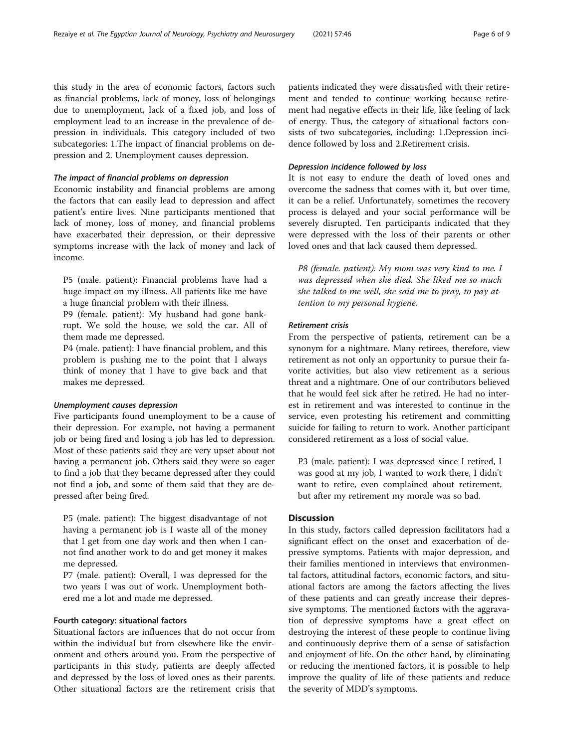this study in the area of economic factors, factors such as financial problems, lack of money, loss of belongings due to unemployment, lack of a fixed job, and loss of employment lead to an increase in the prevalence of depression in individuals. This category included of two subcategories: 1.The impact of financial problems on depression and 2. Unemployment causes depression.

# The impact of financial problems on depression

Economic instability and financial problems are among the factors that can easily lead to depression and affect patient's entire lives. Nine participants mentioned that lack of money, loss of money, and financial problems have exacerbated their depression, or their depressive symptoms increase with the lack of money and lack of income.

P5 (male. patient): Financial problems have had a huge impact on my illness. All patients like me have a huge financial problem with their illness.

P9 (female. patient): My husband had gone bankrupt. We sold the house, we sold the car. All of them made me depressed.

P4 (male. patient): I have financial problem, and this problem is pushing me to the point that I always think of money that I have to give back and that makes me depressed.

### Unemployment causes depression

Five participants found unemployment to be a cause of their depression. For example, not having a permanent job or being fired and losing a job has led to depression. Most of these patients said they are very upset about not having a permanent job. Others said they were so eager to find a job that they became depressed after they could not find a job, and some of them said that they are depressed after being fired.

P5 (male. patient): The biggest disadvantage of not having a permanent job is I waste all of the money that I get from one day work and then when I cannot find another work to do and get money it makes me depressed.

P7 (male. patient): Overall, I was depressed for the two years I was out of work. Unemployment bothered me a lot and made me depressed.

#### Fourth category: situational factors

Situational factors are influences that do not occur from within the individual but from elsewhere like the environment and others around you. From the perspective of participants in this study, patients are deeply affected and depressed by the loss of loved ones as their parents. Other situational factors are the retirement crisis that

patients indicated they were dissatisfied with their retirement and tended to continue working because retirement had negative effects in their life, like feeling of lack of energy. Thus, the category of situational factors consists of two subcategories, including: 1.Depression incidence followed by loss and 2.Retirement crisis.

# Depression incidence followed by loss

It is not easy to endure the death of loved ones and overcome the sadness that comes with it, but over time, it can be a relief. Unfortunately, sometimes the recovery process is delayed and your social performance will be severely disrupted. Ten participants indicated that they were depressed with the loss of their parents or other loved ones and that lack caused them depressed.

P8 (female. patient): My mom was very kind to me. I was depressed when she died. She liked me so much she talked to me well, she said me to pray, to pay attention to my personal hygiene.

# Retirement crisis

From the perspective of patients, retirement can be a synonym for a nightmare. Many retirees, therefore, view retirement as not only an opportunity to pursue their favorite activities, but also view retirement as a serious threat and a nightmare. One of our contributors believed that he would feel sick after he retired. He had no interest in retirement and was interested to continue in the service, even protesting his retirement and committing suicide for failing to return to work. Another participant considered retirement as a loss of social value.

P3 (male. patient): I was depressed since I retired, I was good at my job, I wanted to work there, I didn't want to retire, even complained about retirement, but after my retirement my morale was so bad.

# **Discussion**

In this study, factors called depression facilitators had a significant effect on the onset and exacerbation of depressive symptoms. Patients with major depression, and their families mentioned in interviews that environmental factors, attitudinal factors, economic factors, and situational factors are among the factors affecting the lives of these patients and can greatly increase their depressive symptoms. The mentioned factors with the aggravation of depressive symptoms have a great effect on destroying the interest of these people to continue living and continuously deprive them of a sense of satisfaction and enjoyment of life. On the other hand, by eliminating or reducing the mentioned factors, it is possible to help improve the quality of life of these patients and reduce the severity of MDD's symptoms.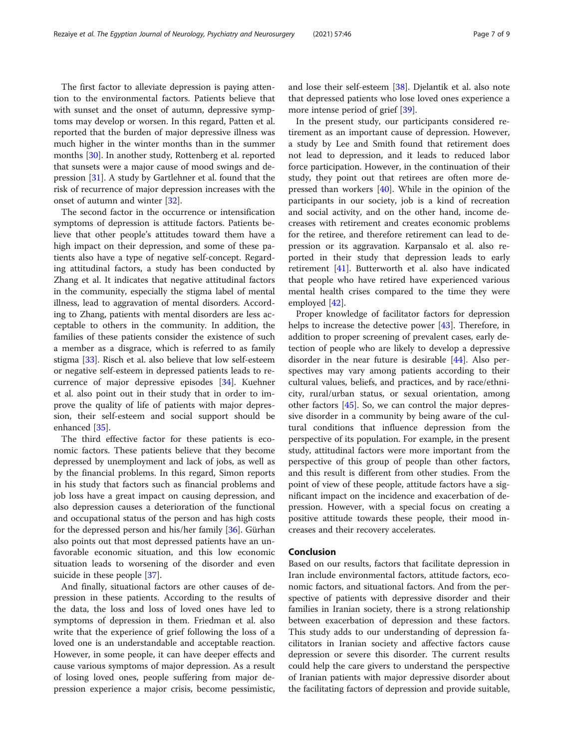The first factor to alleviate depression is paying attention to the environmental factors. Patients believe that with sunset and the onset of autumn, depressive symptoms may develop or worsen. In this regard, Patten et al. reported that the burden of major depressive illness was much higher in the winter months than in the summer months [[30\]](#page-8-0). In another study, Rottenberg et al. reported that sunsets were a major cause of mood swings and depression [[31\]](#page-8-0). A study by Gartlehner et al. found that the risk of recurrence of major depression increases with the onset of autumn and winter [\[32](#page-8-0)].

The second factor in the occurrence or intensification symptoms of depression is attitude factors. Patients believe that other people's attitudes toward them have a high impact on their depression, and some of these patients also have a type of negative self-concept. Regarding attitudinal factors, a study has been conducted by Zhang et al. It indicates that negative attitudinal factors in the community, especially the stigma label of mental illness, lead to aggravation of mental disorders. According to Zhang, patients with mental disorders are less acceptable to others in the community. In addition, the families of these patients consider the existence of such a member as a disgrace, which is referred to as family stigma [\[33\]](#page-8-0). Risch et al. also believe that low self-esteem or negative self-esteem in depressed patients leads to recurrence of major depressive episodes [\[34](#page-8-0)]. Kuehner et al. also point out in their study that in order to improve the quality of life of patients with major depression, their self-esteem and social support should be enhanced [[35\]](#page-8-0).

The third effective factor for these patients is economic factors. These patients believe that they become depressed by unemployment and lack of jobs, as well as by the financial problems. In this regard, Simon reports in his study that factors such as financial problems and job loss have a great impact on causing depression, and also depression causes a deterioration of the functional and occupational status of the person and has high costs for the depressed person and his/her family [\[36\]](#page-8-0). Gürhan also points out that most depressed patients have an unfavorable economic situation, and this low economic situation leads to worsening of the disorder and even suicide in these people [[37\]](#page-8-0).

And finally, situational factors are other causes of depression in these patients. According to the results of the data, the loss and loss of loved ones have led to symptoms of depression in them. Friedman et al. also write that the experience of grief following the loss of a loved one is an understandable and acceptable reaction. However, in some people, it can have deeper effects and cause various symptoms of major depression. As a result of losing loved ones, people suffering from major depression experience a major crisis, become pessimistic, and lose their self-esteem [[38\]](#page-8-0). Djelantik et al. also note that depressed patients who lose loved ones experience a more intense period of grief [\[39](#page-8-0)].

In the present study, our participants considered retirement as an important cause of depression. However, a study by Lee and Smith found that retirement does not lead to depression, and it leads to reduced labor force participation. However, in the continuation of their study, they point out that retirees are often more depressed than workers [\[40](#page-8-0)]. While in the opinion of the participants in our society, job is a kind of recreation and social activity, and on the other hand, income decreases with retirement and creates economic problems for the retiree, and therefore retirement can lead to depression or its aggravation. Karpansalo et al. also reported in their study that depression leads to early retirement [[41\]](#page-8-0). Butterworth et al. also have indicated that people who have retired have experienced various mental health crises compared to the time they were employed [\[42](#page-8-0)].

Proper knowledge of facilitator factors for depression helps to increase the detective power [[43\]](#page-8-0). Therefore, in addition to proper screening of prevalent cases, early detection of people who are likely to develop a depressive disorder in the near future is desirable [\[44\]](#page-8-0). Also perspectives may vary among patients according to their cultural values, beliefs, and practices, and by race/ethnicity, rural/urban status, or sexual orientation, among other factors [\[45\]](#page-8-0). So, we can control the major depressive disorder in a community by being aware of the cultural conditions that influence depression from the perspective of its population. For example, in the present study, attitudinal factors were more important from the perspective of this group of people than other factors, and this result is different from other studies. From the point of view of these people, attitude factors have a significant impact on the incidence and exacerbation of depression. However, with a special focus on creating a positive attitude towards these people, their mood increases and their recovery accelerates.

#### Conclusion

Based on our results, factors that facilitate depression in Iran include environmental factors, attitude factors, economic factors, and situational factors. And from the perspective of patients with depressive disorder and their families in Iranian society, there is a strong relationship between exacerbation of depression and these factors. This study adds to our understanding of depression facilitators in Iranian society and affective factors cause depression or severe this disorder. The current results could help the care givers to understand the perspective of Iranian patients with major depressive disorder about the facilitating factors of depression and provide suitable,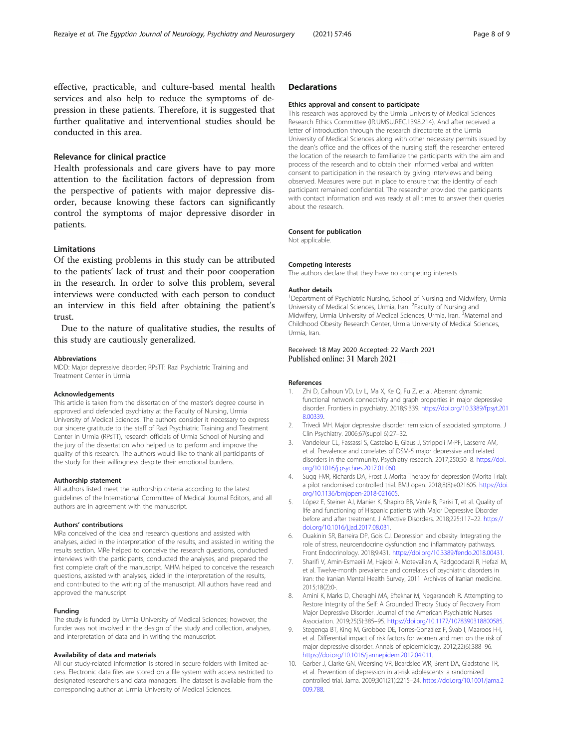<span id="page-7-0"></span>effective, practicable, and culture-based mental health services and also help to reduce the symptoms of depression in these patients. Therefore, it is suggested that further qualitative and interventional studies should be conducted in this area.

# Relevance for clinical practice

Health professionals and care givers have to pay more attention to the facilitation factors of depression from the perspective of patients with major depressive disorder, because knowing these factors can significantly control the symptoms of major depressive disorder in patients.

# Limitations

Of the existing problems in this study can be attributed to the patients' lack of trust and their poor cooperation in the research. In order to solve this problem, several interviews were conducted with each person to conduct an interview in this field after obtaining the patient's trust.

Due to the nature of qualitative studies, the results of this study are cautiously generalized.

#### Abbreviations

MDD: Major depressive disorder; RPsTT: Razi Psychiatric Training and Treatment Center in Urmia

#### Acknowledgements

This article is taken from the dissertation of the master's degree course in approved and defended psychiatry at the Faculty of Nursing, Urmia University of Medical Sciences. The authors consider it necessary to express our sincere gratitude to the staff of Razi Psychiatric Training and Treatment Center in Urmia (RPsTT), research officials of Urmia School of Nursing and the jury of the dissertation who helped us to perform and improve the quality of this research. The authors would like to thank all participants of the study for their willingness despite their emotional burdens.

#### Authorship statement

All authors listed meet the authorship criteria according to the latest guidelines of the International Committee of Medical Journal Editors, and all authors are in agreement with the manuscript.

#### Authors' contributions

MRa conceived of the idea and research questions and assisted with analyses, aided in the interpretation of the results, and assisted in writing the results section. MRe helped to conceive the research questions, conducted interviews with the participants, conducted the analyses, and prepared the first complete draft of the manuscript. MHM helped to conceive the research questions, assisted with analyses, aided in the interpretation of the results, and contributed to the writing of the manuscript. All authors have read and approved the manuscript

#### Funding

The study is funded by Urmia University of Medical Sciences; however, the funder was not involved in the design of the study and collection, analyses, and interpretation of data and in writing the manuscript.

#### Availability of data and materials

All our study-related information is stored in secure folders with limited access. Electronic data files are stored on a file system with access restricted to designated researchers and data managers. The dataset is available from the corresponding author at Urmia University of Medical Sciences.

# **Declarations**

#### Ethics approval and consent to participate

This research was approved by the Urmia University of Medical Sciences Research Ethics Committee (IR.UMSU.REC.1398.214). And after received a letter of introduction through the research directorate at the Urmia University of Medical Sciences along with other necessary permits issued by the dean's office and the offices of the nursing staff, the researcher entered the location of the research to familiarize the participants with the aim and process of the research and to obtain their informed verbal and written consent to participation in the research by giving interviews and being observed. Measures were put in place to ensure that the identity of each participant remained confidential. The researcher provided the participants with contact information and was ready at all times to answer their queries about the research.

#### Consent for publication

Not applicable.

#### Competing interests

The authors declare that they have no competing interests.

#### Author details

<sup>1</sup>Department of Psychiatric Nursing, School of Nursing and Midwifery, Urmia University of Medical Sciences, Urmia, Iran. <sup>2</sup> Faculty of Nursing and Midwifery, Urmia University of Medical Sciences, Urmia, Iran. <sup>3</sup>Maternal and Childhood Obesity Research Center, Urmia University of Medical Sciences, Urmia, Iran.

# Received: 18 May 2020 Accepted: 22 March 2021 Published online: 31 March 2021

#### References

- 1. Zhi D, Calhoun VD, Lv L, Ma X, Ke Q, Fu Z, et al. Aberrant dynamic functional network connectivity and graph properties in major depressive disorder. Frontiers in psychiatry. 2018;9:339. [https://doi.org/10.3389/fpsyt.201](https://doi.org/10.3389/fpsyt.2018.00339) [8.00339](https://doi.org/10.3389/fpsyt.2018.00339).
- 2. Trivedi MH. Major depressive disorder: remission of associated symptoms. J Clin Psychiatry. 2006;67(suppl 6):27–32.
- 3. Vandeleur CL, Fassassi S, Castelao E, Glaus J, Strippoli M-PF, Lasserre AM, et al. Prevalence and correlates of DSM-5 major depressive and related disorders in the community. Psychiatry research. 2017;250:50–8. [https://doi.](https://doi.org/10.1016/j.psychres.2017.01.060) [org/10.1016/j.psychres.2017.01.060](https://doi.org/10.1016/j.psychres.2017.01.060).
- 4. Sugg HVR, Richards DA, Frost J. Morita Therapy for depression (Morita Trial): a pilot randomised controlled trial. BMJ open. 2018;8(8):e021605. [https://doi.](https://doi.org/10.1136/bmjopen-2018-021605) [org/10.1136/bmjopen-2018-021605](https://doi.org/10.1136/bmjopen-2018-021605).
- 5. López E, Steiner AJ, Manier K, Shapiro BB, Vanle B, Parisi T, et al. Quality of life and functioning of Hispanic patients with Major Depressive Disorder before and after treatment. J Affective Disorders. 2018;225:117–22. [https://](https://doi.org/10.1016/j.jad.2017.08.031) [doi.org/10.1016/j.jad.2017.08.031.](https://doi.org/10.1016/j.jad.2017.08.031)
- 6. Ouakinin SR, Barreira DP, Gois CJ. Depression and obesity: Integrating the role of stress, neuroendocrine dysfunction and inflammatory pathways. Front Endocrinology. 2018;9:431. <https://doi.org/10.3389/fendo.2018.00431>.
- 7. Sharifi V, Amin-Esmaeili M, Hajebi A, Motevalian A, Radgoodarzi R, Hefazi M, et al. Twelve-month prevalence and correlates of psychiatric disorders in Iran: the Iranian Mental Health Survey, 2011. Archives of Iranian medicine. 2015;18(2):0-.
- 8. Amini K, Marks D, Cheraghi MA, Eftekhar M, Negarandeh R. Attempting to Restore Integrity of the Self: A Grounded Theory Study of Recovery From Major Depressive Disorder. Journal of the American Psychiatric Nurses Association. 2019;25(5):385–95. [https://doi.org/10.1177/1078390318800585.](https://doi.org/10.1177/1078390318800585)
- 9. Stegenga BT, King M, Grobbee DE, Torres-González F, Švab I, Maaroos H-I, et al. Differential impact of risk factors for women and men on the risk of major depressive disorder. Annals of epidemiology. 2012;22(6):388–96. <https://doi.org/10.1016/j.annepidem.2012.04.011>.
- 10. Garber J, Clarke GN, Weersing VR, Beardslee WR, Brent DA, Gladstone TR, et al. Prevention of depression in at-risk adolescents: a randomized controlled trial. Jama. 2009;301(21):2215–24. [https://doi.org/10.1001/jama.2](https://doi.org/10.1001/jama.2009.788) [009.788](https://doi.org/10.1001/jama.2009.788).